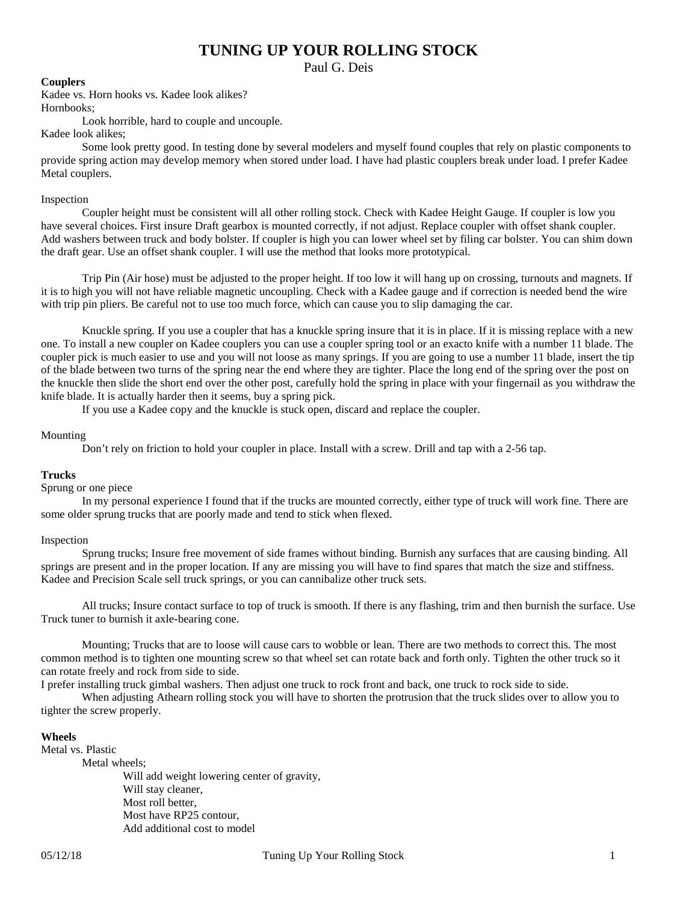# **TUNING UP YOUR ROLLING STOCK**

Paul G. Deis

### **Couplers**

Kadee vs. Horn hooks vs. Kadee look alikes? Hornbooks;

Look horrible, hard to couple and uncouple.

Kadee look alikes;

Some look pretty good. In testing done by several modelers and myself found couples that rely on plastic components to provide spring action may develop memory when stored under load. I have had plastic couplers break under load. I prefer Kadee Metal couplers.

## Inspection

Coupler height must be consistent will all other rolling stock. Check with Kadee Height Gauge. If coupler is low you have several choices. First insure Draft gearbox is mounted correctly, if not adjust. Replace coupler with offset shank coupler. Add washers between truck and body bolster. If coupler is high you can lower wheel set by filing car bolster. You can shim down the draft gear. Use an offset shank coupler. I will use the method that looks more prototypical.

Trip Pin (Air hose) must be adjusted to the proper height. If too low it will hang up on crossing, turnouts and magnets. If it is to high you will not have reliable magnetic uncoupling. Check with a Kadee gauge and if correction is needed bend the wire with trip pin pliers. Be careful not to use too much force, which can cause you to slip damaging the car.

Knuckle spring. If you use a coupler that has a knuckle spring insure that it is in place. If it is missing replace with a new one. To install a new coupler on Kadee couplers you can use a coupler spring tool or an exacto knife with a number 11 blade. The coupler pick is much easier to use and you will not loose as many springs. If you are going to use a number 11 blade, insert the tip of the blade between two turns of the spring near the end where they are tighter. Place the long end of the spring over the post on the knuckle then slide the short end over the other post, carefully hold the spring in place with your fingernail as you withdraw the knife blade. It is actually harder then it seems, buy a spring pick.

If you use a Kadee copy and the knuckle is stuck open, discard and replace the coupler.

#### Mounting

Don't rely on friction to hold your coupler in place. Install with a screw. Drill and tap with a 2-56 tap.

#### **Trucks**

#### Sprung or one piece

In my personal experience I found that if the trucks are mounted correctly, either type of truck will work fine. There are some older sprung trucks that are poorly made and tend to stick when flexed.

## Inspection

Sprung trucks; Insure free movement of side frames without binding. Burnish any surfaces that are causing binding. All springs are present and in the proper location. If any are missing you will have to find spares that match the size and stiffness. Kadee and Precision Scale sell truck springs, or you can cannibalize other truck sets.

All trucks; Insure contact surface to top of truck is smooth. If there is any flashing, trim and then burnish the surface. Use Truck tuner to burnish it axle-bearing cone.

Mounting; Trucks that are to loose will cause cars to wobble or lean. There are two methods to correct this. The most common method is to tighten one mounting screw so that wheel set can rotate back and forth only. Tighten the other truck so it can rotate freely and rock from side to side.

I prefer installing truck gimbal washers. Then adjust one truck to rock front and back, one truck to rock side to side.

When adjusting Athearn rolling stock you will have to shorten the protrusion that the truck slides over to allow you to tighter the screw properly.

#### **Wheels**

Metal vs. Plastic

Metal wheels; Will add weight lowering center of gravity, Will stay cleaner, Most roll better, Most have RP25 contour, Add additional cost to model